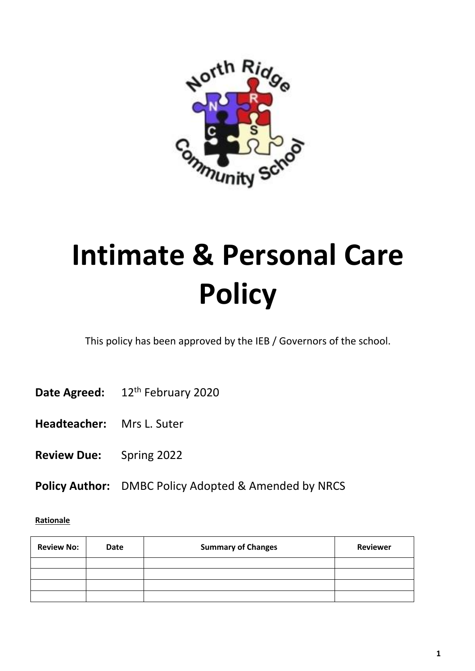

# **Intimate & Personal Care Policy**

This policy has been approved by the IEB / Governors of the school.

- Date Agreed: 12<sup>th</sup> February 2020
- **Headteacher:** Mrs L. Suter
- **Review Due:** Spring 2022
- **Policy Author:** DMBC Policy Adopted & Amended by NRCS

#### **Rationale**

| <b>Review No:</b> | <b>Date</b> | <b>Summary of Changes</b> | <b>Reviewer</b> |
|-------------------|-------------|---------------------------|-----------------|
|                   |             |                           |                 |
|                   |             |                           |                 |
|                   |             |                           |                 |
|                   |             |                           |                 |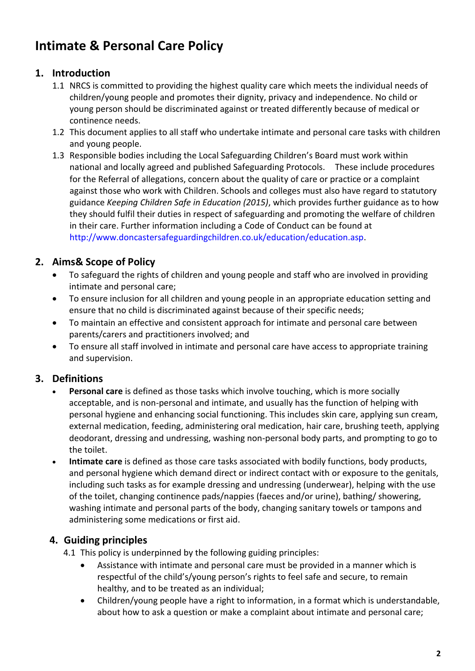# **Intimate & Personal Care Policy**

# **1. Introduction**

- 1.1 NRCS is committed to providing the highest quality care which meets the individual needs of children/young people and promotes their dignity, privacy and independence. No child or young person should be discriminated against or treated differently because of medical or continence needs.
- 1.2 This document applies to all staff who undertake intimate and personal care tasks with children and young people.
- 1.3 Responsible bodies including the Local Safeguarding Children's Board must work within national and locally agreed and published Safeguarding Protocols. These include procedures for the Referral of allegations, concern about the quality of care or practice or a complaint against those who work with Children. Schools and colleges must also have regard to statutory guidance *Keeping Children Safe in Education (2015)*, which provides further guidance as to how they should fulfil their duties in respect of safeguarding and promoting the welfare of children in their care. Further information including a Code of Conduct can be found at [http://www.doncastersafeguardingchildren.co.uk/education/education.asp.](http://www.doncastersafeguardingchildren.co.uk/education/education.asp)

# **2. Aims& Scope of Policy**

- To safeguard the rights of children and young people and staff who are involved in providing intimate and personal care;
- To ensure inclusion for all children and young people in an appropriate education setting and ensure that no child is discriminated against because of their specific needs;
- To maintain an effective and consistent approach for intimate and personal care between parents/carers and practitioners involved; and
- To ensure all staff involved in intimate and personal care have access to appropriate training and supervision.

# **3. Definitions**

- **Personal care** is defined as those tasks which involve touching, which is more socially acceptable, and is non-personal and intimate, and usually has the function of helping with personal hygiene and enhancing social functioning. This includes skin care, applying sun cream, external medication, feeding, administering oral medication, hair care, brushing teeth, applying deodorant, dressing and undressing, washing non-personal body parts, and prompting to go to the toilet.
- **Intimate care** is defined as those care tasks associated with bodily functions, body products, and personal hygiene which demand direct or indirect contact with or exposure to the genitals, including such tasks as for example dressing and undressing (underwear), helping with the use of the toilet, changing continence pads/nappies (faeces and/or urine), bathing/ showering, washing intimate and personal parts of the body, changing sanitary towels or tampons and administering some medications or first aid.

# **4. Guiding principles**

- 4.1 This policy is underpinned by the following guiding principles:
	- Assistance with intimate and personal care must be provided in a manner which is respectful of the child's/young person's rights to feel safe and secure, to remain healthy, and to be treated as an individual;
	- Children/young people have a right to information, in a format which is understandable, about how to ask a question or make a complaint about intimate and personal care;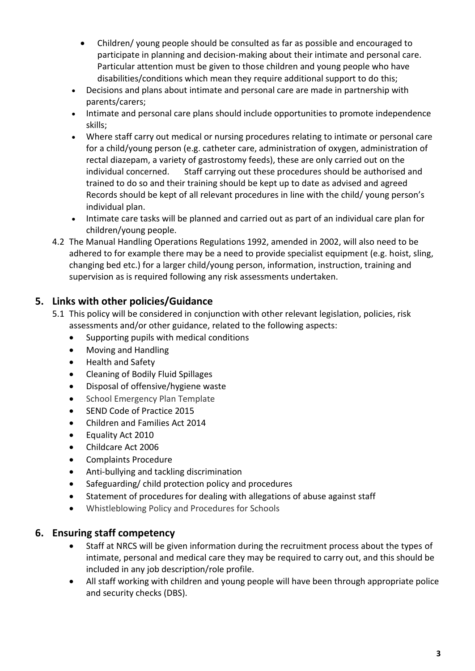- Children/ young people should be consulted as far as possible and encouraged to participate in planning and decision-making about their intimate and personal care. Particular attention must be given to those children and young people who have disabilities/conditions which mean they require additional support to do this;
- Decisions and plans about intimate and personal care are made in partnership with parents/carers;
- Intimate and personal care plans should include opportunities to promote independence skills;
- Where staff carry out medical or nursing procedures relating to intimate or personal care for a child/young person (e.g. catheter care, administration of oxygen, administration of rectal diazepam, a variety of gastrostomy feeds), these are only carried out on the individual concerned. Staff carrying out these procedures should be authorised and trained to do so and their training should be kept up to date as advised and agreed Records should be kept of all relevant procedures in line with the child/ young person's individual plan.
- Intimate care tasks will be planned and carried out as part of an individual care plan for children/young people.
- 4.2 The Manual Handling Operations Regulations 1992, amended in 2002, will also need to be adhered to for example there may be a need to provide specialist equipment (e.g. hoist, sling, changing bed etc.) for a larger child/young person, information, instruction, training and supervision as is required following any risk assessments undertaken.

# **5. Links with other policies/Guidance**

- 5.1 This policy will be considered in conjunction with other relevant legislation, policies, risk assessments and/or other guidance, related to the following aspects:
	- Supporting pupils with medical conditions
	- Moving and Handling
	- Health and Safety
	- Cleaning of Bodily Fluid Spillages
	- Disposal of offensive/hygiene waste
	- School Emergency Plan Template
	- SEND Code of Practice 2015
	- Children and Families Act 2014
	- Equality Act 2010
	- Childcare Act 2006
	- Complaints Procedure
	- Anti-bullying and tackling discrimination
	- Safeguarding/ child protection policy and procedures
	- Statement of procedures for dealing with allegations of abuse against staff
	- Whistleblowing Policy and Procedures for Schools

#### **6. Ensuring staff competency**

- Staff at NRCS will be given information during the recruitment process about the types of intimate, personal and medical care they may be required to carry out, and this should be included in any job description/role profile.
- All staff working with children and young people will have been through appropriate police and security checks (DBS).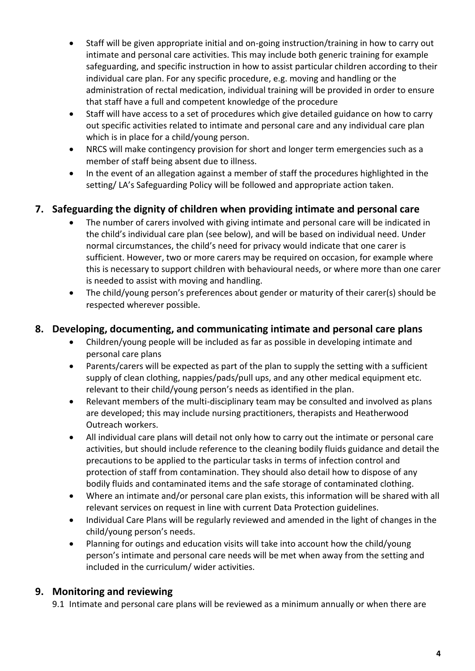- Staff will be given appropriate initial and on-going instruction/training in how to carry out intimate and personal care activities. This may include both generic training for example safeguarding, and specific instruction in how to assist particular children according to their individual care plan. For any specific procedure, e.g. moving and handling or the administration of rectal medication, individual training will be provided in order to ensure that staff have a full and competent knowledge of the procedure
- Staff will have access to a set of procedures which give detailed guidance on how to carry out specific activities related to intimate and personal care and any individual care plan which is in place for a child/young person.
- NRCS will make contingency provision for short and longer term emergencies such as a member of staff being absent due to illness.
- In the event of an allegation against a member of staff the procedures highlighted in the setting/ LA's Safeguarding Policy will be followed and appropriate action taken.

# **7. Safeguarding the dignity of children when providing intimate and personal care**

- The number of carers involved with giving intimate and personal care will be indicated in the child's individual care plan (see below), and will be based on individual need. Under normal circumstances, the child's need for privacy would indicate that one carer is sufficient. However, two or more carers may be required on occasion, for example where this is necessary to support children with behavioural needs, or where more than one carer is needed to assist with moving and handling.
- The child/young person's preferences about gender or maturity of their carer(s) should be respected wherever possible.

# **8. Developing, documenting, and communicating intimate and personal care plans**

- Children/young people will be included as far as possible in developing intimate and personal care plans
- Parents/carers will be expected as part of the plan to supply the setting with a sufficient supply of clean clothing, nappies/pads/pull ups, and any other medical equipment etc. relevant to their child/young person's needs as identified in the plan.
- Relevant members of the multi-disciplinary team may be consulted and involved as plans are developed; this may include nursing practitioners, therapists and Heatherwood Outreach workers.
- All individual care plans will detail not only how to carry out the intimate or personal care activities, but should include reference to the cleaning bodily fluids guidance and detail the precautions to be applied to the particular tasks in terms of infection control and protection of staff from contamination. They should also detail how to dispose of any bodily fluids and contaminated items and the safe storage of contaminated clothing.
- Where an intimate and/or personal care plan exists, this information will be shared with all relevant services on request in line with current Data Protection guidelines.
- Individual Care Plans will be regularly reviewed and amended in the light of changes in the child/young person's needs.
- Planning for outings and education visits will take into account how the child/young person's intimate and personal care needs will be met when away from the setting and included in the curriculum/ wider activities.

# **9. Monitoring and reviewing**

9.1 Intimate and personal care plans will be reviewed as a minimum annually or when there are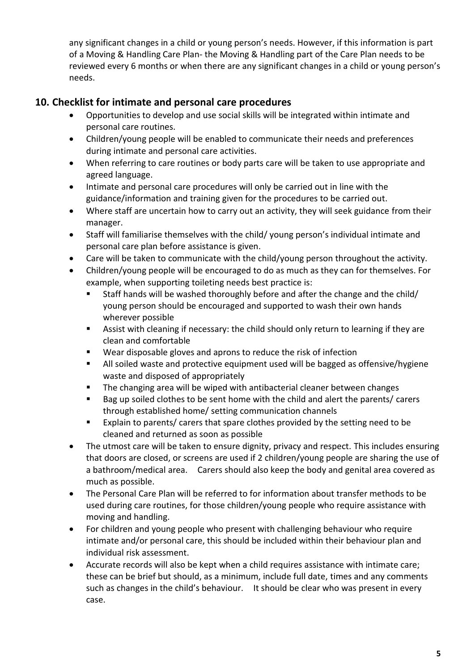any significant changes in a child or young person's needs. However, if this information is part of a Moving & Handling Care Plan- the Moving & Handling part of the Care Plan needs to be reviewed every 6 months or when there are any significant changes in a child or young person's needs.

# **10. Checklist for intimate and personal care procedures**

- Opportunities to develop and use social skills will be integrated within intimate and personal care routines.
- Children/young people will be enabled to communicate their needs and preferences during intimate and personal care activities.
- When referring to care routines or body parts care will be taken to use appropriate and agreed language.
- Intimate and personal care procedures will only be carried out in line with the guidance/information and training given for the procedures to be carried out.
- Where staff are uncertain how to carry out an activity, they will seek guidance from their manager.
- Staff will familiarise themselves with the child/ young person's individual intimate and personal care plan before assistance is given.
- Care will be taken to communicate with the child/young person throughout the activity.
- Children/young people will be encouraged to do as much as they can for themselves. For example, when supporting toileting needs best practice is:
	- Staff hands will be washed thoroughly before and after the change and the child/ young person should be encouraged and supported to wash their own hands wherever possible
	- Assist with cleaning if necessary: the child should only return to learning if they are clean and comfortable
	- Wear disposable gloves and aprons to reduce the risk of infection
	- All soiled waste and protective equipment used will be bagged as offensive/hygiene waste and disposed of appropriately
	- The changing area will be wiped with antibacterial cleaner between changes
	- Bag up soiled clothes to be sent home with the child and alert the parents/ carers through established home/ setting communication channels
	- Explain to parents/ carers that spare clothes provided by the setting need to be cleaned and returned as soon as possible
- The utmost care will be taken to ensure dignity, privacy and respect. This includes ensuring that doors are closed, or screens are used if 2 children/young people are sharing the use of a bathroom/medical area. Carers should also keep the body and genital area covered as much as possible.
- The Personal Care Plan will be referred to for information about transfer methods to be used during care routines, for those children/young people who require assistance with moving and handling.
- For children and young people who present with challenging behaviour who require intimate and/or personal care, this should be included within their behaviour plan and individual risk assessment.
- Accurate records will also be kept when a child requires assistance with intimate care; these can be brief but should, as a minimum, include full date, times and any comments such as changes in the child's behaviour. It should be clear who was present in every case.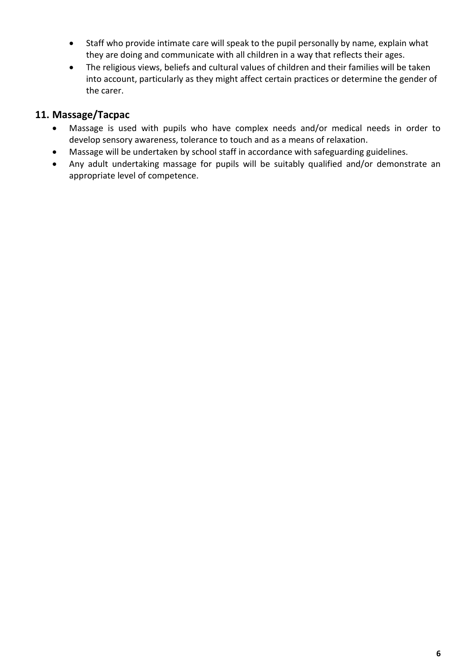- Staff who provide intimate care will speak to the pupil personally by name, explain what they are doing and communicate with all children in a way that reflects their ages.
- The religious views, beliefs and cultural values of children and their families will be taken into account, particularly as they might affect certain practices or determine the gender of the carer.

# **11. Massage/Tacpac**

- Massage is used with pupils who have complex needs and/or medical needs in order to develop sensory awareness, tolerance to touch and as a means of relaxation.
- Massage will be undertaken by school staff in accordance with safeguarding guidelines.
- Any adult undertaking massage for pupils will be suitably qualified and/or demonstrate an appropriate level of competence.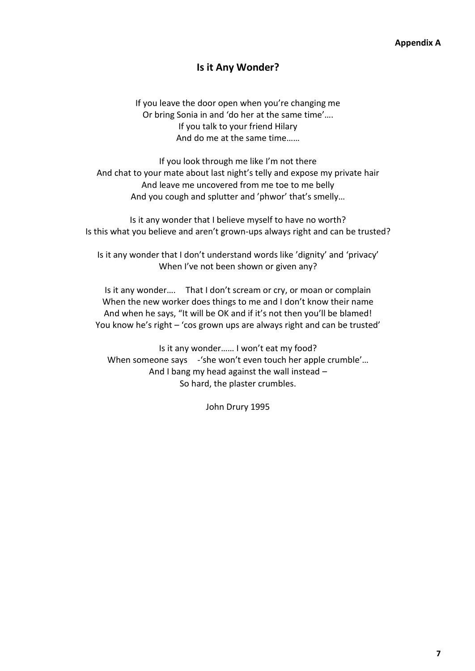#### **Is it Any Wonder?**

If you leave the door open when you're changing me Or bring Sonia in and 'do her at the same time'…. If you talk to your friend Hilary And do me at the same time……

If you look through me like I'm not there And chat to your mate about last night's telly and expose my private hair And leave me uncovered from me toe to me belly And you cough and splutter and 'phwor' that's smelly…

Is it any wonder that I believe myself to have no worth? Is this what you believe and aren't grown-ups always right and can be trusted?

Is it any wonder that I don't understand words like 'dignity' and 'privacy' When I've not been shown or given any?

Is it any wonder…. That I don't scream or cry, or moan or complain When the new worker does things to me and I don't know their name And when he says, "It will be OK and if it's not then you'll be blamed! You know he's right – 'cos grown ups are always right and can be trusted'

Is it any wonder…… I won't eat my food? When someone says -'she won't even touch her apple crumble'... And I bang my head against the wall instead – So hard, the plaster crumbles.

John Drury 1995